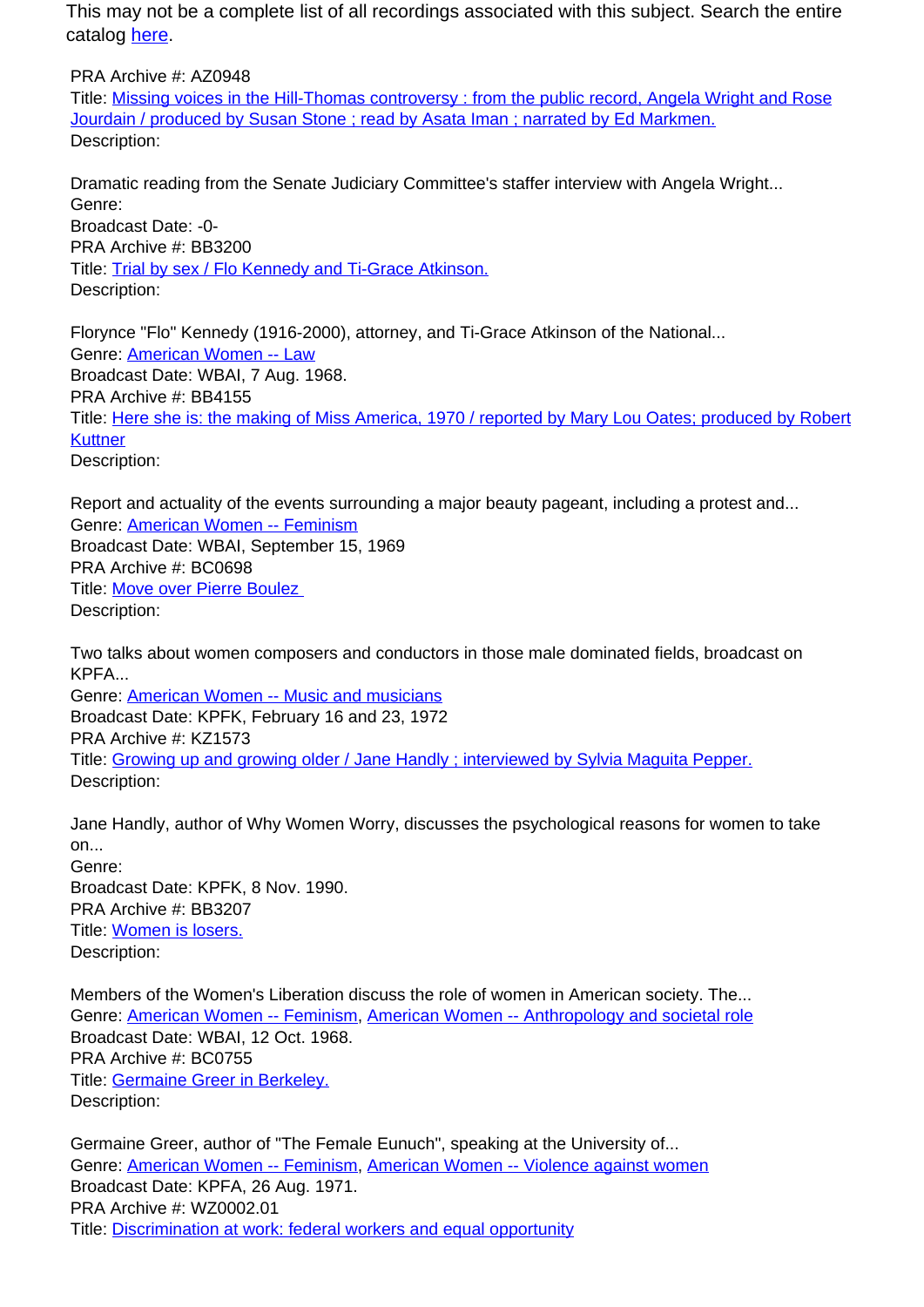This may not be a complete list of all recordings associated with this subject. Search the entire catalog [here.](http://pacificaradioarchives.org/keyword-search)

PRA Archive #: AZ0948 Title: Missing voices in the Hill-Thomas controversy : from the public record, Angela Wright and Rose Jourdain / produced by Susan Stone ; read by Asata Iman ; narrated by Ed Markmen. Description:

Dramatic reading from the Senate Judiciary Committee's staffer interview with Angela Wright... Genre: Broadcast Date: -0-

PRA Archive #: BB3200 Title: Trial by sex / Flo Kennedy and Ti-Grace Atkinson. Description:

Florynce "Flo" Kennedy (1916-2000), attorney, and Ti-Grace Atkinson of the National... Genre: American Women -- Law Broadcast Date: WBAI, 7 Aug. 1968. PRA Archive #: BB4155 Title: Here she is: the making of Miss America, 1970 / reported by Mary Lou Oates; produced by Robert **Kuttner** Description:

Report and actuality of the events surrounding a major beauty pageant, including a protest and... Genre: American Women -- Feminism Broadcast Date: WBAI, September 15, 1969 PRA Archive #: BC0698 Title: Move over Pierre Boulez Description:

Two talks about women composers and conductors in those male dominated fields, broadcast on KPFA... Genre: American Women -- Music and musicians

Broadcast Date: KPFK, February 16 and 23, 1972 PRA Archive #: KZ1573 Title: Growing up and growing older / Jane Handly ; interviewed by Sylvia Maguita Pepper. Description:

Jane Handly, author of Why Women Worry, discusses the psychological reasons for women to take on... Genre: Broadcast Date: KPFK, 8 Nov. 1990.

PRA Archive #: BB3207 Title: Women is losers. Description:

Members of the Women's Liberation discuss the role of women in American society. The... Genre: American Women -- Feminism, American Women -- Anthropology and societal role Broadcast Date: WBAI, 12 Oct. 1968. PRA Archive #: BC0755 Title: Germaine Greer in Berkeley. Description:

Germaine Greer, author of "The Female Eunuch", speaking at the University of... Genre: American Women -- Feminism, American Women -- Violence against women Broadcast Date: KPFA, 26 Aug. 1971. PRA Archive #: WZ0002.01 Title: Discrimination at work: federal workers and equal opportunity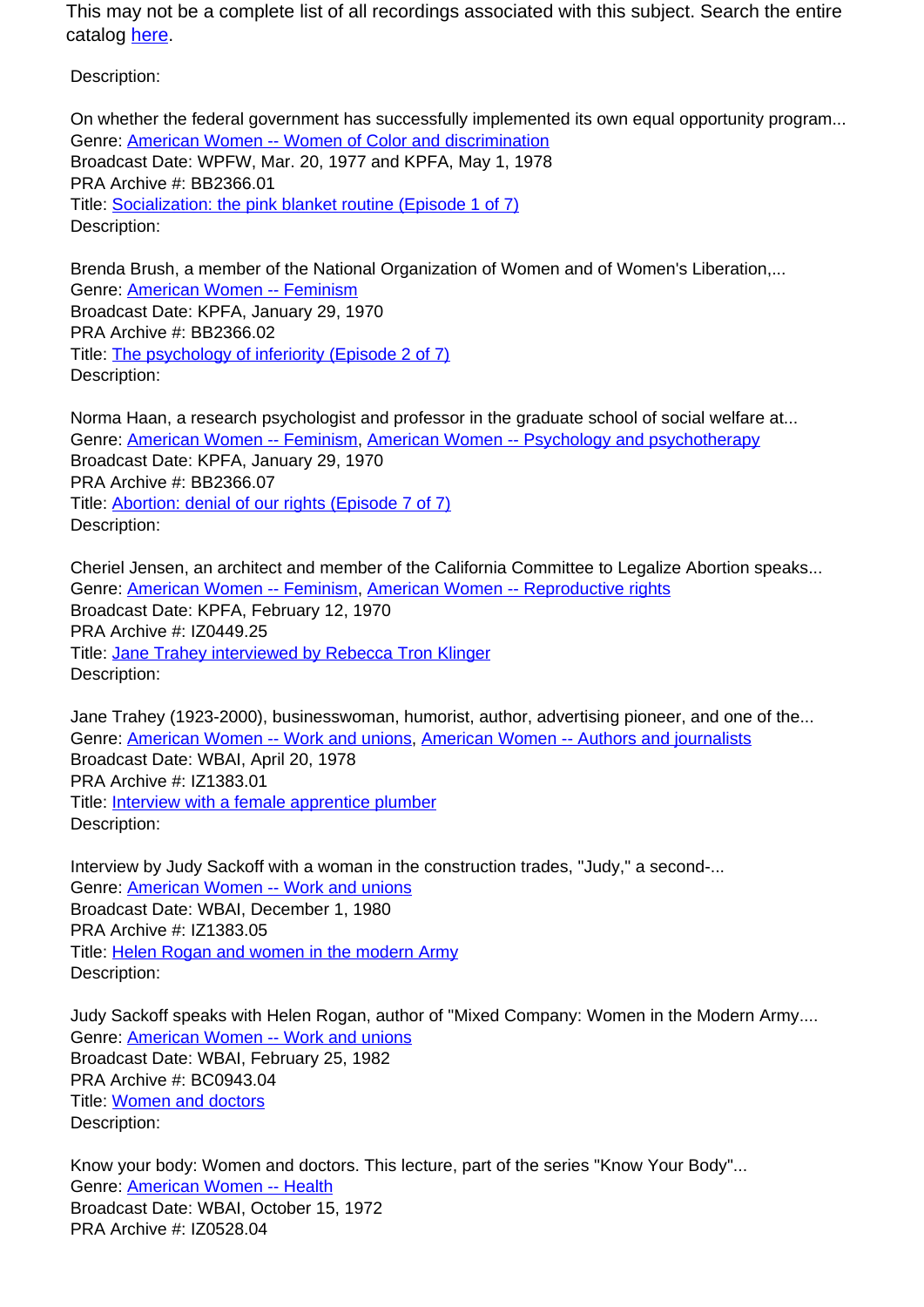This may not be a complete list of all recordings associated with this subject. Search the entire catalog here.

Description:

On whether the federal government has successfully implemented its own equal opportunity program... Genre: American Women -- Women of Color and discrimination Broadcast Date: WPFW, Mar. 20, 1977 and KPFA, May 1, 1978 PRA Archive #: BB2366.01 Title: Socialization: the pink blanket routine (Episode 1 of 7) Description:

Brenda Brush, a member of the National Organization of Women and of Women's Liberation,... Genre: American Women -- Feminism Broadcast Date: KPFA, January 29, 1970 PRA Archive #: BB2366.02 Title: The psychology of inferiority (Episode 2 of 7) Description:

Norma Haan, a research psychologist and professor in the graduate school of social welfare at... Genre: American Women -- Feminism, American Women -- Psychology and psychotherapy Broadcast Date: KPFA, January 29, 1970 PRA Archive #: BB2366.07 Title: Abortion: denial of our rights (Episode 7 of 7) Description:

Cheriel Jensen, an architect and member of the California Committee to Legalize Abortion speaks... Genre: American Women -- Feminism, American Women -- Reproductive rights Broadcast Date: KPFA, February 12, 1970 PRA Archive #: IZ0449.25 Title: **Jane Trahey interviewed by Rebecca Tron Klinger** Description:

Jane Trahey (1923-2000), businesswoman, humorist, author, advertising pioneer, and one of the... Genre: American Women -- Work and unions, American Women -- Authors and journalists Broadcast Date: WBAI, April 20, 1978 PRA Archive #: IZ1383.01 Title: **Interview with a female apprentice plumber** Description:

Interview by Judy Sackoff with a woman in the construction trades, "Judy," a second-... Genre: American Women -- Work and unions Broadcast Date: WBAI, December 1, 1980 PRA Archive #: IZ1383.05 Title: Helen Rogan and women in the modern Army Description:

Judy Sackoff speaks with Helen Rogan, author of "Mixed Company: Women in the Modern Army.... Genre: American Women -- Work and unions Broadcast Date: WBAI, February 25, 1982 PRA Archive #: BC0943.04 Title: Women and doctors Description:

Know your body: Women and doctors. This lecture, part of the series "Know Your Body"... Genre: American Women -- Health Broadcast Date: WBAI, October 15, 1972 PRA Archive #: IZ0528.04